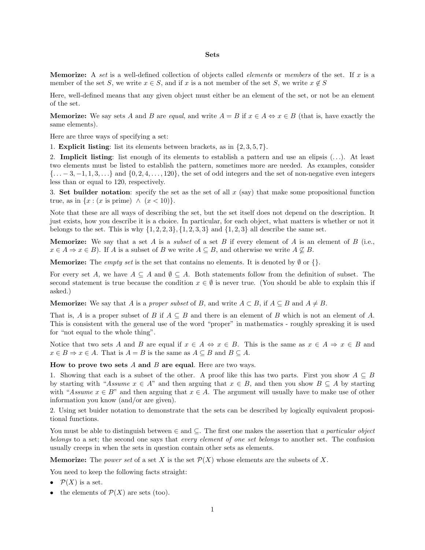## **Sets**

**Memorize:** A set is a well-defined collection of objects called elements or members of the set. If *x* is a member of the set *S*, we write  $x \in S$ , and if *x* is a not member of the set *S*, we write  $x \notin S$ 

Here, well-defined means that any given object must either be an element of the set, or not be an element of the set.

**Memorize:** We say sets *A* and *B* are *equal*, and write  $A = B$  if  $x \in A \Leftrightarrow x \in B$  (that is, have exactly the same elements).

Here are three ways of specifying a set:

1. **Explicit listing**: list its elements between brackets, as in {2*,* 3*,* 5*,* 7}.

2. **Implicit listing**: list enough of its elements to establish a pattern and use an elipsis (*...*). At least two elements must be listed to establish the pattern, sometimes more are needed. As examples, consider {*...* − 3*,* −1*,* 1*,* 3*,...*} and {0*,* 2*,* 4*,...,* 120}, the set of odd integers and the set of non-negative even integers less than or equal to 120, respectively.

3. **Set builder notation**: specify the set as the set of all *x* (say) that make some propositional function true, as in  $\{x : (x \text{ is prime}) \land (x < 10)\}.$ 

Note that these are all ways of describing the set, but the set itself does not depend on the description. It just exists, how you describe it is a choice. In particular, for each object, what matters is whether or not it belongs to the set. This is why  $\{1, 2, 2, 3\}$ ,  $\{1, 2, 3, 3\}$  and  $\{1, 2, 3\}$  all describe the same set.

**Memorize:** We say that a set *A* is a *subset* of a set *B* if every element of *A* is an element of *B* (i.e.,  $x \in A \Rightarrow x \in B$ ). If *A* is a subset of *B* we write  $A \subseteq B$ , and otherwise we write  $A \nsubseteq B$ .

**Memorize:** The *empty set* is the set that contains no elements. It is denoted by  $\emptyset$  or  $\{\}.$ 

For every set *A*, we have  $A \subseteq A$  and  $\emptyset \subseteq A$ . Both statements follow from the definition of subset. The second statement is true because the condition  $x \in \emptyset$  is never true. (You should be able to explain this if asked.)

**Memorize:** We say that *A* is a *proper subset* of *B*, and write  $A \subset B$ , if  $A \subseteq B$  and  $A \neq B$ .

That is, *A* is a proper subset of *B* if  $A \subseteq B$  and there is an element of *B* which is not an element of *A*. This is consistent with the general use of the word "proper" in mathematics - roughly spreaking it is used for "not equal to the whole thing".

Notice that two sets *A* and *B* are equal if  $x \in A \Leftrightarrow x \in B$ . This is the same as  $x \in A \Rightarrow x \in B$  and  $x \in B \Rightarrow x \in A$ . That is  $A = B$  is the same as  $A \subseteq B$  and  $B \subseteq A$ .

**How to prove two sets** *A* **and** *B* **are equal**. Here are two ways.

1. Showing that each is a subset of the other. A proof like this has two parts. First you show  $A \subseteq B$ by starting with "Assume  $x \in A$ " and then arguing that  $x \in B$ , and then you show  $B \subseteq A$  by starting with "Assume  $x \in B$ " and then arguing that  $x \in A$ . The argument will usually have to make use of other information you know (and/or are given).

2. Using set buider notation to demonstrate that the sets can be described by logically equivalent propositional functions.

You must be able to distinguish between  $\in$  and  $\subseteq$ . The first one makes the assertion that a particular object belongs to a set; the second one says that *every element of one set belongs* to another set. The confusion usually creeps in when the sets in question contain other sets as elements.

**Memorize:** The power set of a set X is the set  $\mathcal{P}(X)$  whose elements are the subsets of X.

You need to keep the following facts straight:

- $\mathcal{P}(X)$  is a set.
- the elements of  $\mathcal{P}(X)$  are sets (too).